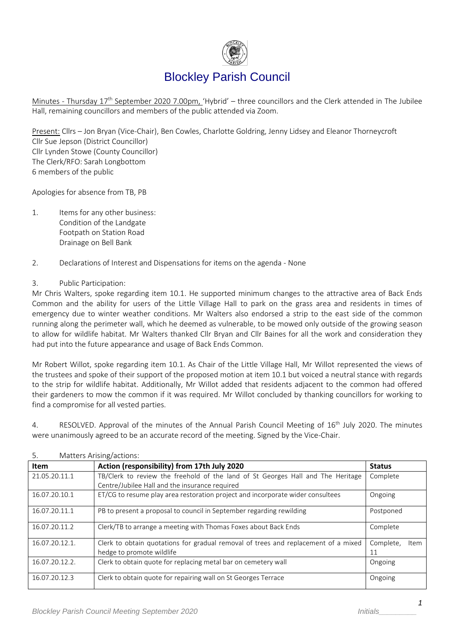

# Blockley Parish Council

Minutes - Thursday 17<sup>th</sup> September 2020 7.00pm, 'Hybrid' – three councillors and the Clerk attended in The Jubilee Hall, remaining councillors and members of the public attended via Zoom.

Present: Cllrs – Jon Bryan (Vice-Chair), Ben Cowles, Charlotte Goldring, Jenny Lidsey and Eleanor Thorneycroft Cllr Sue Jepson (District Councillor) Cllr Lynden Stowe (County Councillor) The Clerk/RFO: Sarah Longbottom 6 members of the public

Apologies for absence from TB, PB

- 1. Items for any other business: Condition of the Landgate Footpath on Station Road Drainage on Bell Bank
- 2. Declarations of Interest and Dispensations for items on the agenda None

#### 3. Public Participation:

Mr Chris Walters, spoke regarding item 10.1. He supported minimum changes to the attractive area of Back Ends Common and the ability for users of the Little Village Hall to park on the grass area and residents in times of emergency due to winter weather conditions. Mr Walters also endorsed a strip to the east side of the common running along the perimeter wall, which he deemed as vulnerable, to be mowed only outside of the growing season to allow for wildlife habitat. Mr Walters thanked Cllr Bryan and Cllr Baines for all the work and consideration they had put into the future appearance and usage of Back Ends Common.

Mr Robert Willot, spoke regarding item 10.1. As Chair of the Little Village Hall, Mr Willot represented the views of the trustees and spoke of their support of the proposed motion at item 10.1 but voiced a neutral stance with regards to the strip for wildlife habitat. Additionally, Mr Willot added that residents adjacent to the common had offered their gardeners to mow the common if it was required. Mr Willot concluded by thanking councillors for working to find a compromise for all vested parties.

4. RESOLVED. Approval of the minutes of the Annual Parish Council Meeting of 16<sup>th</sup> July 2020. The minutes were unanimously agreed to be an accurate record of the meeting. Signed by the Vice-Chair.

| <b>Item</b>    | Action (responsibility) from 17th July 2020                                        | <b>Status</b>     |
|----------------|------------------------------------------------------------------------------------|-------------------|
| 21.05.20.11.1  | TB/Clerk to review the freehold of the land of St Georges Hall and The Heritage    | Complete          |
|                | Centre/Jubilee Hall and the insurance required                                     |                   |
| 16.07.20.10.1  | ET/CG to resume play area restoration project and incorporate wider consultees     | Ongoing           |
| 16.07.20.11.1  | PB to present a proposal to council in September regarding rewilding               | Postponed         |
| 16.07.20.11.2  | Clerk/TB to arrange a meeting with Thomas Foxes about Back Ends                    | Complete          |
| 16.07.20.12.1. | Clerk to obtain quotations for gradual removal of trees and replacement of a mixed | Complete,<br>Item |
|                | hedge to promote wildlife                                                          | 11                |
| 16.07.20.12.2. | Clerk to obtain quote for replacing metal bar on cemetery wall                     | Ongoing           |
| 16.07.20.12.3  | Clerk to obtain quote for repairing wall on St Georges Terrace                     | Ongoing           |

#### 5. Matters Arising/actions: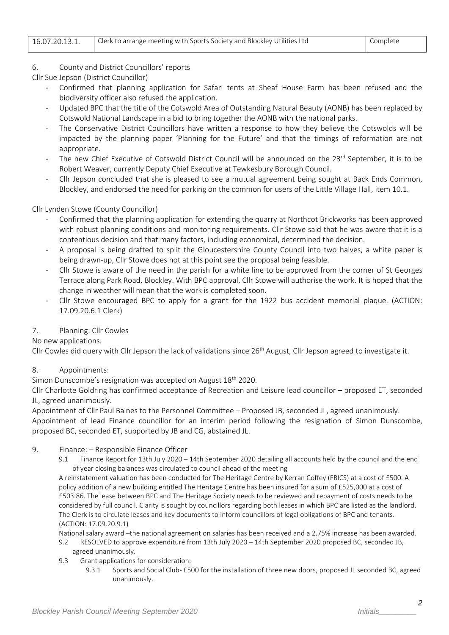| Clerk to arrange meeting with Sports Society and Blockley Utilities Ltd<br>16.07.20.13.1. | Complete |
|-------------------------------------------------------------------------------------------|----------|
|-------------------------------------------------------------------------------------------|----------|

## 6. County and District Councillors' reports

- Cllr Sue Jepson (District Councillor)
	- Confirmed that planning application for Safari tents at Sheaf House Farm has been refused and the biodiversity officer also refused the application.
	- Updated BPC that the title of the Cotswold Area of Outstanding Natural Beauty (AONB) has been replaced by Cotswold National Landscape in a bid to bring together the AONB with the national parks.
	- The Conservative District Councillors have written a response to how they believe the Cotswolds will be impacted by the planning paper 'Planning for the Future' and that the timings of reformation are not appropriate.
	- The new Chief Executive of Cotswold District Council will be announced on the 23<sup>rd</sup> September, it is to be Robert Weaver, currently Deputy Chief Executive at Tewkesbury Borough Council.
	- Cllr Jepson concluded that she is pleased to see a mutual agreement being sought at Back Ends Common, Blockley, and endorsed the need for parking on the common for users of the Little Village Hall, item 10.1.

## Cllr Lynden Stowe (County Councillor)

- Confirmed that the planning application for extending the quarry at Northcot Brickworks has been approved with robust planning conditions and monitoring requirements. Cllr Stowe said that he was aware that it is a contentious decision and that many factors, including economical, determined the decision.
- A proposal is being drafted to split the Gloucestershire County Council into two halves, a white paper is being drawn-up, Cllr Stowe does not at this point see the proposal being feasible.
- Cllr Stowe is aware of the need in the parish for a white line to be approved from the corner of St Georges Terrace along Park Road, Blockley. With BPC approval, Cllr Stowe will authorise the work. It is hoped that the change in weather will mean that the work is completed soon.
- Cllr Stowe encouraged BPC to apply for a grant for the 1922 bus accident memorial plaque. (ACTION: 17.09.20.6.1 Clerk)

## 7. Planning: Cllr Cowles

## No new applications.

Cllr Cowles did query with Cllr Jepson the lack of validations since  $26<sup>th</sup>$  August, Cllr Jepson agreed to investigate it.

## 8. Appointments:

Simon Dunscombe's resignation was accepted on August 18<sup>th</sup> 2020.

Cllr Charlotte Goldring has confirmed acceptance of Recreation and Leisure lead councillor – proposed ET, seconded JL, agreed unanimously.

Appointment of Cllr Paul Baines to the Personnel Committee – Proposed JB, seconded JL, agreed unanimously. Appointment of lead Finance councillor for an interim period following the resignation of Simon Dunscombe,

proposed BC, seconded ET, supported by JB and CG, abstained JL.

## 9. Finance: – Responsible Finance Officer

9.1 Finance Report for 13th July 2020 – 14th September 2020 detailing all accounts held by the council and the end of year closing balances was circulated to council ahead of the meeting

A reinstatement valuation has been conducted for The Heritage Centre by Kerran Coffey (FRICS) at a cost of £500. A policy addition of a new building entitled The Heritage Centre has been insured for a sum of £525,000 at a cost of £503.86. The lease between BPC and The Heritage Society needs to be reviewed and repayment of costs needs to be considered by full council. Clarity is sought by councillors regarding both leases in which BPC are listed as the landlord. The Clerk is to circulate leases and key documents to inform councillors of legal obligations of BPC and tenants. (ACTION: 17.09.20.9.1)

National salary award –the national agreement on salaries has been received and a 2.75% increase has been awarded.

- 9.2 RESOLVED to approve expenditure from 13th July 2020 14th September 2020 proposed BC, seconded JB, agreed unanimously.
- 9.3 Grant applications for consideration:
	- 9.3.1 Sports and Social Club- £500 for the installation of three new doors, proposed JL seconded BC, agreed unanimously.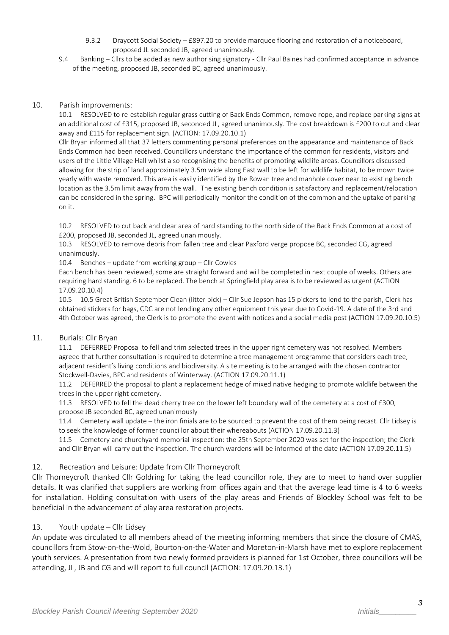- 9.3.2 Draycott Social Society £897.20 to provide marquee flooring and restoration of a noticeboard, proposed JL seconded JB, agreed unanimously.
- 9.4 Banking Cllrs to be added as new authorising signatory Cllr Paul Baines had confirmed acceptance in advance of the meeting, proposed JB, seconded BC, agreed unanimously.

#### 10. Parish improvements:

10.1 RESOLVED to re-establish regular grass cutting of Back Ends Common, remove rope, and replace parking signs at an additional cost of £315, proposed JB, seconded JL, agreed unanimously. The cost breakdown is £200 to cut and clear away and £115 for replacement sign. (ACTION: 17.09.20.10.1)

Cllr Bryan informed all that 37 letters commenting personal preferences on the appearance and maintenance of Back Ends Common had been received. Councillors understand the importance of the common for residents, visitors and users of the Little Village Hall whilst also recognising the benefits of promoting wildlife areas. Councillors discussed allowing for the strip of land approximately 3.5m wide along East wall to be left for wildlife habitat, to be mown twice yearly with waste removed. This area is easily identified by the Rowan tree and manhole cover near to existing bench location as the 3.5m limit away from the wall. The existing bench condition is satisfactory and replacement/relocation can be considered in the spring. BPC will periodically monitor the condition of the common and the uptake of parking on it.

10.2 RESOLVED to cut back and clear area of hard standing to the north side of the Back Ends Common at a cost of £200, proposed JB, seconded JL, agreed unanimously.

10.3 RESOLVED to remove debris from fallen tree and clear Paxford verge propose BC, seconded CG, agreed unanimously.

10.4 Benches – update from working group – Cllr Cowles

Each bench has been reviewed, some are straight forward and will be completed in next couple of weeks. Others are requiring hard standing. 6 to be replaced. The bench at Springfield play area is to be reviewed as urgent (ACTION 17.09.20.10.4)

10.5 10.5 Great British September Clean (litter pick) – Cllr Sue Jepson has 15 pickers to lend to the parish, Clerk has obtained stickers for bags, CDC are not lending any other equipment this year due to Covid-19. A date of the 3rd and 4th October was agreed, the Clerk is to promote the event with notices and a social media post (ACTION 17.09.20.10.5)

#### 11. Burials: Cllr Bryan

11.1 DEFERRED Proposal to fell and trim selected trees in the upper right cemetery was not resolved. Members agreed that further consultation is required to determine a tree management programme that considers each tree, adjacent resident's living conditions and biodiversity. A site meeting is to be arranged with the chosen contractor Stockwell-Davies, BPC and residents of Winterway. (ACTION 17.09.20.11.1)

11.2 DEFERRED the proposal to plant a replacement hedge of mixed native hedging to promote wildlife between the trees in the upper right cemetery.

11.3 RESOLVED to fell the dead cherry tree on the lower left boundary wall of the cemetery at a cost of £300, propose JB seconded BC, agreed unanimously

11.4 Cemetery wall update – the iron finials are to be sourced to prevent the cost of them being recast. Cllr Lidsey is to seek the knowledge of former councillor about their whereabouts (ACTION 17.09.20.11.3)

11.5 Cemetery and churchyard memorial inspection: the 25th September 2020 was set for the inspection; the Clerk and Cllr Bryan will carry out the inspection. The church wardens will be informed of the date (ACTION 17.09.20.11.5)

#### 12. Recreation and Leisure: Update from Cllr Thorneycroft

Cllr Thorneycroft thanked Cllr Goldring for taking the lead councillor role, they are to meet to hand over supplier details. It was clarified that suppliers are working from offices again and that the average lead time is 4 to 6 weeks for installation. Holding consultation with users of the play areas and Friends of Blockley School was felt to be beneficial in the advancement of play area restoration projects.

#### 13. Youth update – Cllr Lidsey

An update was circulated to all members ahead of the meeting informing members that since the closure of CMAS, councillors from Stow-on-the-Wold, Bourton-on-the-Water and Moreton-in-Marsh have met to explore replacement youth services. A presentation from two newly formed providers is planned for 1st October, three councillors will be attending, JL, JB and CG and will report to full council (ACTION: 17.09.20.13.1)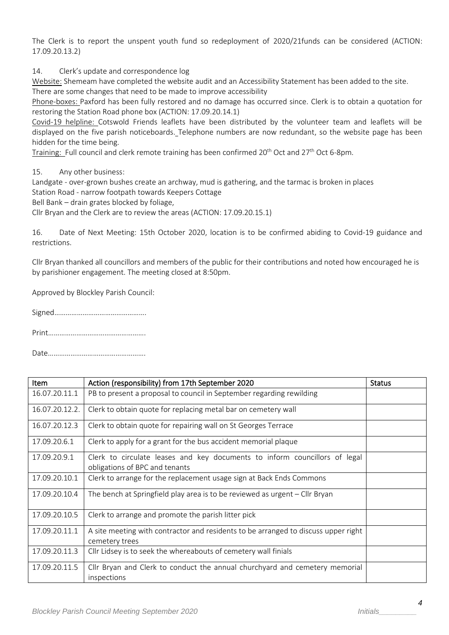The Clerk is to report the unspent youth fund so redeployment of 2020/21funds can be considered (ACTION: 17.09.20.13.2)

14. Clerk's update and correspondence log

Website: Shemeam have completed the website audit and an Accessibility Statement has been added to the site. There are some changes that need to be made to improve accessibility

Phone-boxes: Paxford has been fully restored and no damage has occurred since. Clerk is to obtain a quotation for restoring the Station Road phone box (ACTION: 17.09.20.14.1)

Covid-19 helpline: Cotswold Friends leaflets have been distributed by the volunteer team and leaflets will be displayed on the five parish noticeboards. Telephone numbers are now redundant, so the website page has been hidden for the time being.

Training: Full council and clerk remote training has been confirmed 20<sup>th</sup> Oct and 27<sup>th</sup> Oct 6-8pm.

15. Any other business:

Landgate - over-grown bushes create an archway, mud is gathering, and the tarmac is broken in places

Station Road - narrow footpath towards Keepers Cottage

Bell Bank – drain grates blocked by foliage,

Cllr Bryan and the Clerk are to review the areas (ACTION: 17.09.20.15.1)

16. Date of Next Meeting: 15th October 2020, location is to be confirmed abiding to Covid-19 guidance and restrictions.

Cllr Bryan thanked all councillors and members of the public for their contributions and noted how encouraged he is by parishioner engagement. The meeting closed at 8:50pm.

Approved by Blockley Parish Council:

Signed………………………………………….

Print…………………………………………….

Date…………………………………………….

| <b>Item</b>    | Action (responsibility) from 17th September 2020                                                             | <b>Status</b> |
|----------------|--------------------------------------------------------------------------------------------------------------|---------------|
| 16.07.20.11.1  | PB to present a proposal to council in September regarding rewilding                                         |               |
| 16.07.20.12.2. | Clerk to obtain quote for replacing metal bar on cemetery wall                                               |               |
| 16.07.20.12.3  | Clerk to obtain quote for repairing wall on St Georges Terrace                                               |               |
| 17.09.20.6.1   | Clerk to apply for a grant for the bus accident memorial plaque                                              |               |
| 17.09.20.9.1   | Clerk to circulate leases and key documents to inform councillors of legal<br>obligations of BPC and tenants |               |
| 17.09.20.10.1  | Clerk to arrange for the replacement usage sign at Back Ends Commons                                         |               |
| 17.09.20.10.4  | The bench at Springfield play area is to be reviewed as urgent $-$ Cllr Bryan                                |               |
| 17.09.20.10.5  | Clerk to arrange and promote the parish litter pick                                                          |               |
| 17.09.20.11.1  | A site meeting with contractor and residents to be arranged to discuss upper right<br>cemetery trees         |               |
| 17.09.20.11.3  | Cllr Lidsey is to seek the whereabouts of cemetery wall finials                                              |               |
| 17.09.20.11.5  | Cllr Bryan and Clerk to conduct the annual churchyard and cemetery memorial<br>inspections                   |               |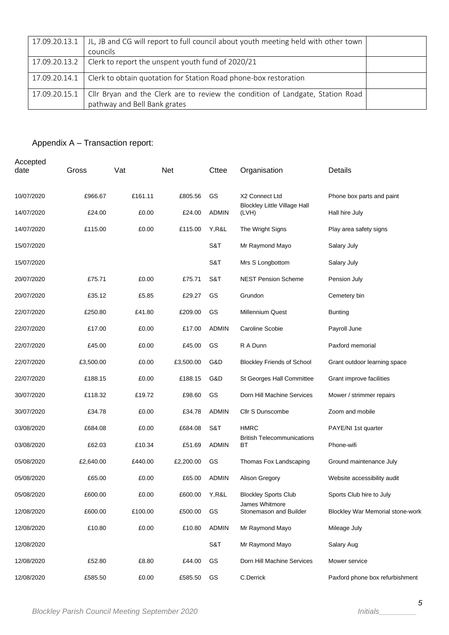| 17.09.20.13.1 | JL, JB and CG will report to full council about youth meeting held with other town<br>councils                 |  |
|---------------|----------------------------------------------------------------------------------------------------------------|--|
|               | 17.09.20.13.2 $\vert$ Clerk to report the unspent youth fund of 2020/21                                        |  |
| 17.09.20.14.1 | Clerk to obtain quotation for Station Road phone-box restoration                                               |  |
| 17.09.20.15.1 | Cllr Bryan and the Clerk are to review the condition of Landgate, Station Road<br>pathway and Bell Bank grates |  |

## Appendix A – Transaction report:

| Accepted<br>date | Gross     | Vat     | <b>Net</b> | Cttee        | Organisation                                 | Details                                 |
|------------------|-----------|---------|------------|--------------|----------------------------------------------|-----------------------------------------|
| 10/07/2020       | £966.67   | £161.11 | £805.56    | GS           | X2 Connect Ltd                               | Phone box parts and paint               |
| 14/07/2020       | £24.00    | £0.00   | £24.00     | <b>ADMIN</b> | <b>Blockley Little Village Hall</b><br>(LVH) | Hall hire July                          |
| 14/07/2020       | £115.00   | £0.00   | £115.00    | Y, R&L       | The Wright Signs                             | Play area safety signs                  |
| 15/07/2020       |           |         |            | S&T          | Mr Raymond Mayo                              | Salary July                             |
| 15/07/2020       |           |         |            | S&T          | Mrs S Longbottom                             | Salary July                             |
| 20/07/2020       | £75.71    | £0.00   | £75.71     | S&T          | <b>NEST Pension Scheme</b>                   | Pension July                            |
| 20/07/2020       | £35.12    | £5.85   | £29.27     | GS           | Grundon                                      | Cemetery bin                            |
| 22/07/2020       | £250.80   | £41.80  | £209.00    | GS           | <b>Millennium Quest</b>                      | <b>Bunting</b>                          |
| 22/07/2020       | £17.00    | £0.00   | £17.00     | <b>ADMIN</b> | Caroline Scobie                              | Payroll June                            |
| 22/07/2020       | £45.00    | £0.00   | £45.00     | GS           | R A Dunn                                     | Paxford memorial                        |
| 22/07/2020       | £3,500.00 | £0.00   | £3,500.00  | G&D          | <b>Blockley Friends of School</b>            | Grant outdoor learning space            |
| 22/07/2020       | £188.15   | £0.00   | £188.15    | G&D          | St Georges Hall Committee                    | Grant improve facilities                |
| 30/07/2020       | £118.32   | £19.72  | £98.60     | GS           | Dorn Hill Machine Services                   | Mower / strimmer repairs                |
| 30/07/2020       | £34.78    | £0.00   | £34.78     | <b>ADMIN</b> | Cllr S Dunscombe                             | Zoom and mobile                         |
| 03/08/2020       | £684.08   | £0.00   | £684.08    | S&T          | <b>HMRC</b>                                  | PAYE/NI 1st quarter                     |
| 03/08/2020       | £62.03    | £10.34  | £51.69     | <b>ADMIN</b> | <b>British Telecommunications</b><br>ВT      | Phone-wifi                              |
| 05/08/2020       | £2,640.00 | £440.00 | £2,200.00  | GS           | Thomas Fox Landscaping                       | Ground maintenance July                 |
| 05/08/2020       | £65.00    | £0.00   | £65.00     | <b>ADMIN</b> | Alison Gregory                               | Website accessibility audit             |
| 05/08/2020       | £600.00   | £0.00   | £600.00    | Y,R&L        | <b>Blockley Sports Club</b>                  | Sports Club hire to July                |
| 12/08/2020       | £600.00   | £100.00 | £500.00    | GS           | James Whitmore<br>Stonemason and Builder     | <b>Blockley War Memorial stone-work</b> |
| 12/08/2020       | £10.80    | £0.00   | £10.80     | <b>ADMIN</b> | Mr Raymond Mayo                              | Mileage July                            |
| 12/08/2020       |           |         |            | S&T          | Mr Raymond Mayo                              | Salary Aug                              |
| 12/08/2020       | £52.80    | £8.80   | £44.00     | GS           | Dorn Hill Machine Services                   | Mower service                           |
| 12/08/2020       | £585.50   | £0.00   | £585.50    | GS           | C.Derrick                                    | Paxford phone box refurbishment         |